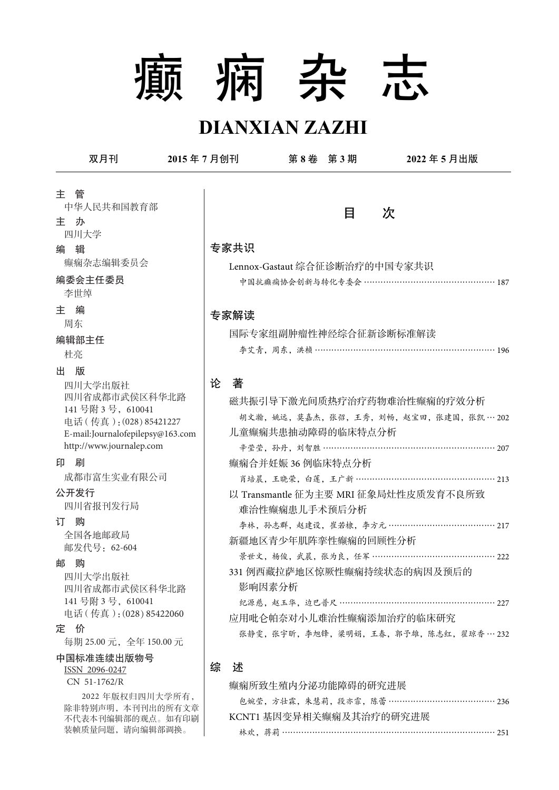# 癫 痫 杂 志

# **DIANXIAN ZAZHI**

双月刊 **2015** 年 **7** 月创刊 第 **8** 卷 第 **3** 期 **2022** 年 **5** 月出版 目 次 专家共识 Lennox-Gastaut 综合征诊断治疗的中国专家共识 中国抗癫痫协会创新与转化专委会 ………………………………………… 187 专家解读 国际专家组副肿瘤性神经综合征新诊断标准解读 李艾青,周东,洪桢 ………………………………………………………… 196 论 著 磁共振引导下激光间质热疗治疗药物难治性癫痫的疗效分析 胡文瀚,姚远,莫嘉杰,张弨,王秀,刘畅,赵宝田,张建国,张凯 … 202 儿童癫痫共患抽动障碍的临床特点分析 辛莹莹, 孙丹, 刘智胜 ……………………………………………………… 207 癫痫合并妊娠 36 例临床特点分析 肖培晨,王晓荣,白莲,王广新 …………………………………………… 213 以 Transmantle 征为主要 MRI 征象局灶性皮质发育不良所致 难治性癫痫患儿手术预后分析 李林,孙志群,赵建设,崔若棣,李方元 ………………………………… 217 新疆地区青少年肌阵挛性癫痫的回顾性分析 景世文,杨俊,武晨,张为良,任军 ……………………………………… 222 331 例西藏拉萨地区惊厥性癫痫持续状态的病因及预后的 影响因素分析 纪源慈, 赵玉华, 边巴普尺 ……………………………………………… 227 应用吡仑帕奈对小儿难治性癫痫添加治疗的临床研究 张静雯,张宇昕,李旭锋,梁明娟,王春,郭予雄,陈志红,翟琼香… 232 综 述 癫痫所致生殖内分泌功能障碍的研究进展 包婉莹,方壮霖,朱慧莉,段亦霏,陈蕾 ………………………………… 236 KCNT1 基因变异相关癫痫及其治疗的研究进展 主 管 中华人民共和国教育部 主 办 四川大学 编 辑 癫痫杂志编辑委员会 编委会主任委员 李世绰 主 编 周东 编辑部主任 杜亮 出 版 四川大学出版社 四川省成都市武侯区科华北路 141 号附 3 号,610041 电话(传真):(028)85421227 E-mail:Journalofepilepsy@163.com http://www.journalep.com 印 刷 成都市富生实业有限公司 四川省报刊发行局 公开发行 订 购 全国各地邮政局 邮发代号:62-604 邮 购 四川大学出版社 四川省成都市武侯区科华北路 141 号附 3 号, 610041 电话(传真):(028)85422060 定 价 每期 25.00 元,全年 150.00 元 中国标准连续出版物号 ISSN 2096-0247 CN 51-1762/R 2022 年版权归四川大学所有, 除非特别声明,本刊刊出的所有文章 不代表本刊编辑部的观点。如有印刷

林欢, 蒋莉 …………………………………………………………………… 251

装帧质量问题,请向编辑部调换。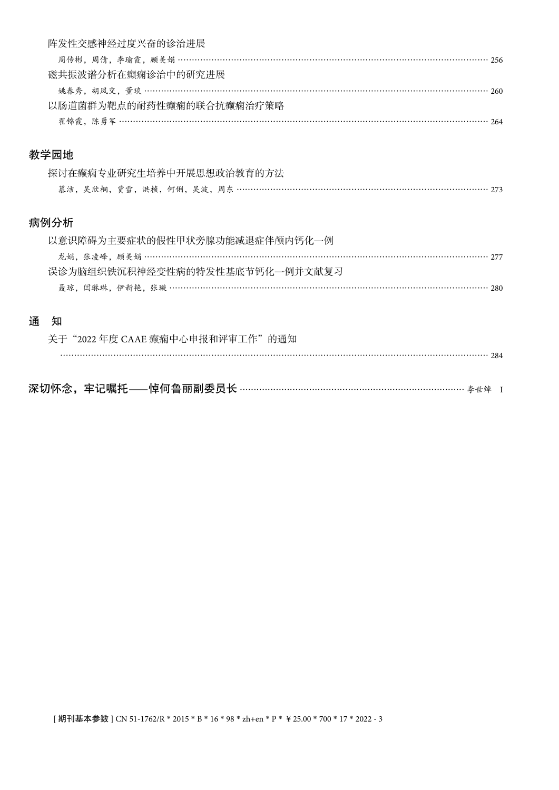|      | 阵发性交感神经过度兴奋的诊治进展                                          |  |
|------|-----------------------------------------------------------|--|
|      |                                                           |  |
|      | 磁共振波谱分析在癫痫诊治中的研究进展                                        |  |
|      |                                                           |  |
|      | 以肠道菌群为靶点的耐药性癫痫的联合抗癫痫治疗策略                                  |  |
|      |                                                           |  |
|      |                                                           |  |
|      | 教学园地                                                      |  |
|      | 探讨在癫痫专业研究生培养中开展思想政治教育的方法                                  |  |
|      | 慕洁,吴欣桐,贾雪,洪桢,何俐,吴波,周东 ………………………………………………………………………………… 273 |  |
|      |                                                           |  |
| 病例分析 |                                                           |  |
|      | 以意识障碍为主要症状的假性甲状旁腺功能减退症伴颅内钙化一例                             |  |
|      |                                                           |  |
|      | 误诊为脑组织铁沉积神经变性病的特发性基底节钙化一例并文献复习                            |  |
|      |                                                           |  |
|      |                                                           |  |
| 诵    | 知                                                         |  |
|      | 关于"2022年度 CAAE 癫痫中心申报和评审工作"的通知                            |  |
|      |                                                           |  |
|      |                                                           |  |

深切怀念,牢记嘱托**—**悼何鲁丽副委员长 ……………………………………………………………………… 李世绰 <sup>I</sup>

[ 期刊基本参数 ] CN 51-1762/R \* 2015 \* B \* 16 \* 98 \* zh+en \* P \* ¥25.00 \* 700 \* 17 \* 2022 - 3